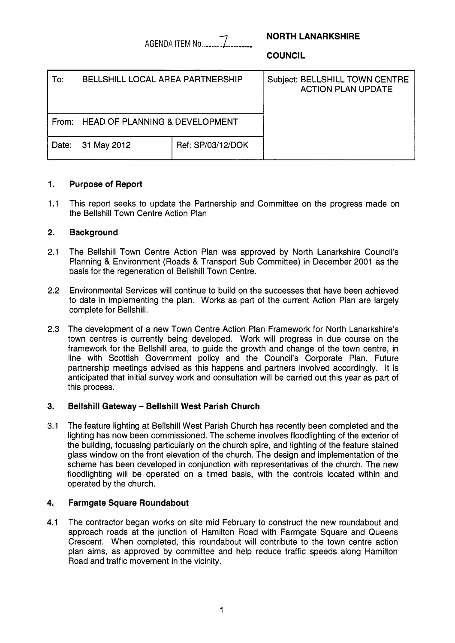AGENDA ITEM No *......-I.........* 

# **NORTH LANARKSHIRE**

**COUNCIL** 

| To:   | <b>BELLSHILL LOCAL AREA PARTNERSHIP</b>   |                   | Subject: BELLSHILL TOWN CENTRE<br><b>ACTION PLAN UPDATE</b> |
|-------|-------------------------------------------|-------------------|-------------------------------------------------------------|
| From: | <b>HEAD OF PLANNING &amp; DEVELOPMENT</b> |                   |                                                             |
| Date: | 31 May 2012                               | Ref: SP/03/12/DOK |                                                             |

# **1. Purpose of Report**

1.1 This report seeks to update the Partnership and Committee on the progress made on the Bellshill Town Centre Action Plan

## **2. Background**

- 2.1 The Bellshill Town Centre Action Plan was approved by North Lanarkshire Council's Planning & Environment (Roads & Transport Sub Committee) in December 2001 as the basis for the regeneration of Bellshill Town Centre.
- 2.2 Environmental Services will continue to build on the successes that have been achieved to date in implementing the plan. Works as part of the current Action Plan are largely complete for Bellshill.
- **2.3**  The development of a new Town Centre Action Plan Framework for North Lanarkshire's town centres is currently being developed. Work will progress in due course on the framework for the Bellshill area, to guide the growth and change of the town centre, in line with Scottish Government policy and the Council's Corporate Plan. Future partnership meetings advised as this happens and partners involved accordingly. It is anticipated that initial survey work and consultation will be carried out this year as part of this process.

#### **3. Bellshill Gateway** - **Bellshill West Parish Church**

3.1 The feature lighting at Bellshill West Parish Church has recently been completed and the lighting has now been commissioned. The scheme involves floodlighting of the exterior of the building, focussing particularly on the church spire, and lighting of the feature stained glass window on the front elevation of the church. The design and implementation of the scheme has been developed in conjunction with representatives of the church. The new floodlighting will be operated on a timed basis, with the controls located within and operated by the church.

# **4. Farmgate Square Roundabout**

**4.1**  The contractor began works on site mid February to construct the new roundabout and approach roads at the junction of Hamilton Road with Farmgate Square and Queens Crescent. When completed, this roundabout will contribute to the town centre action plan aims, as approved by committee and help reduce traffic speeds along Hamilton Road and traffic movement in the vicinity.